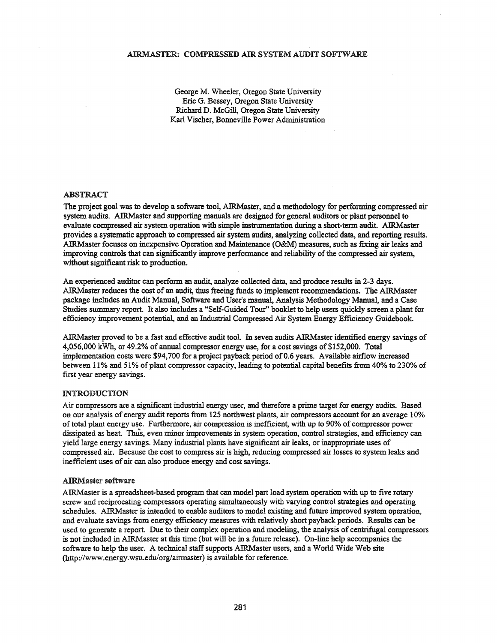### AlRMASTER: COMPRESSED AIR SYSTEM AUDIT SOFTWARE

George M. Wheeler, Oregon State University Eric G. Bessey, Oregon State University Richard D. McGill, Oregon State University Karl Vischer, Bonneville Power Administration

#### ABSTRACT

The project goal was to develop a software tool, AIRMaster, and a methodology for perfomring compressed air system audits. AIRMaster and supporting manuals are designed for general auditors or plant personnel to evaluate compressed air system operation with simple instrumentation during a short-term audit. AIRMaster provides a systematic approach to compressed air system audits, analyzing collected data, and reporting results. AIRMaster focuses on inexpensive Operation and Maintenance (O&M) measures, such as fixing air leaks and improving controls that can significantly improve performance and reliability of the compressed air system, without significant risk to production.

An experienced auditor can perform an audit, analyze collected data, and produce results in 2-3 days. AIRMaster reduces the cost of an audit, thus freeing funds to implement recommendations. The AIRMaster package includes an Audit Manual, Software and User's manual, Analysis Methodology Manual, and a Case Studies summary report. It also includes a "Self-Guided Tour" booklet to help users quickly screen a plant for efficiency improvement potential, and an Industrial Compressed Air System Energy Efficiency Guidebook.

AIRMaster proved to be a fast and effective audit tool. In seven audits AIRMaster identified energy savings of 4,056,000 kWh, or 49.2% of annual compressor energy use, for a cost savings of\$l52,000. Total implementation costs were \$94,700 for a project payback period of 0.6 years. Available airflow increased between 11% and 51% of plant compressor capacity, leading to potential capital benefits from 40% to 230% of first year energy savings.

#### INTRODUCTION

Air compressors are a significant industrial energy user, and therefore a prime target for energy audits. Based on our analysis of energy audit reports from 125 northwest plants, air compressors account for an average 10% oftotal plant energy use. Furthermore, air compression is inefficient, with up to 90% of compressor power dissipated as heat. Thus, even minor improvements in system operation, control strategies, and efficiency can yield large energy savings. Many industrial plants have significant air leaks, or inappropriate uses of compressed air. Because the cost to compress air is high, reducing compressed air losses to system leaks and inefficient uses of air can also produce energy and cost savings.

#### AIRMaster software

AIRMaster is a spreadsheet-based program that can model part load system operation with up to five rotary screw and reciprocating compressors operating simultaneously with varying control strategies and operating schedules. AIRMaster is intended to enable auditors to model existing and future improved system operation, and evaluate savings from energy efficiency measures with relatively short payback periods. Results can be used to generate a report. Due to their complex operation and modeling, the analysis of centrifugal compressors is not included in AIRMaster at this time (but will be in a future release). On-line help accompanies the software to help the user. A technical staff supports AIRMaster users, and a World Wide Web site (http://www.energy.wsu.edu/org/airmaster) is available for reference.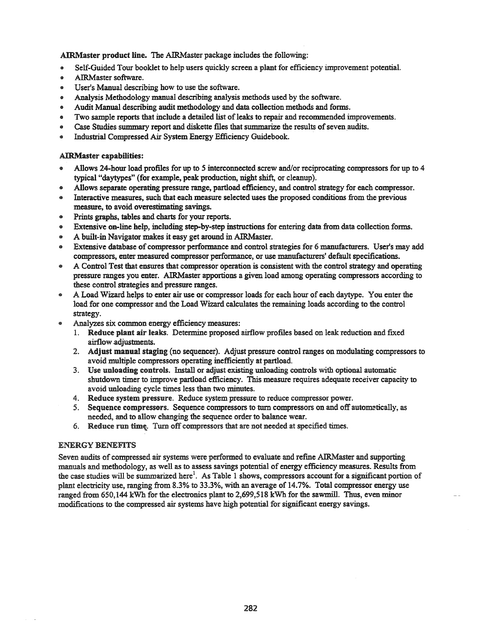AIRMaster product line. The AIRMaster package includes the following:

- .. Self-Guided Tour booklet to help users quickly screen a plant for efficiency improvement potential.
- .. AIRMaster software.
- .. User's Manual describing how to use the software.
- .. Analysis Methodology manual describing analysis methods used by the software.
- .. Audit Manual describing audit methodology and data collection methods and forms.
- .. Two sample reports that include a detailed list oflealcs to repair and recommended improvements.
- Case Studies summary report and diskette files that summarize the results of seven audits.
- .. Industrial Compressed Air System Energy Efficiency Guidebook.

## AIRMaster capabilities:

- .. Allows 24-hour load profiles for up to 5 interconnected screw and/or reciprocating compressors for up to 4 typical "daytypes" (for example, peak production, night shift, or cleanup).
- .. Allows separate operating pressure range, partload efficiency, and control strategy for each compressor.
- .. Interactive measures, such that each measure selected uses the proposed conditions from the previous measure, to avoid overestimating savings.
- .. Prints graphs, tables and charts for your reports.
- .. Extensive on-line help, including step-by-step instructions for entering data from data collection forms.
- .. A built-in Navigator makes it easy get around in AIRMaster.
- Extensive database of compressor performance and control strategies for 6 manufacturers. User's may add compressors, enter measured compressor performance, or use manufacturers' default specifications.
- A Control Test that ensures that compressor operation is consistent with the control strategy and operating pressure ranges you enter. AIRMaster apportions a given load among operating compressors according to these control strategies and pressure ranges.
- A Load Wizard helps to enter air use or compressor loads for each hour of each daytype. You enter the load for one compressor and the Load Wizard calculates the remaining loads according to the control strategy.
- Analyzes six common energy efficiency measures:
	- 1. Reduce plant air leaks. Determine proposed airflow profiles based on leak reduction and fIxed airflow.adjustments.
	- 2. Adjust manual staging (no sequencer). Adjust pressure control ranges on modulating compressors to avoid multiple compressors operating inefficiently at partload.
	- 3. Use unloading controls. Install or adjust existing unloading controls with optional automatic shutdown timer to improve partload efficiency. This measure requires adequate receiver capacity to avoid unloading cycle times less than two minutes.
	- 4. Reduce system pressure. Reduce system pressure to reduce compressor power.
	- 5. Sequence compressors. Sequence compressors to turn compressors on and off automatically, as needed, and to allow changing the sequence order to balance wear.
	- 6. Reduce run time. Turn off compressors that are not needed at specified times.

# ENERGY BENEFITS

Seven audits of compressed air systems were performed to evaluate and refine AIRMaster and supporting manuals and methodology, as well as to assess savings potential of energy efficiency measures. Results from the case studies will be summarized here<sup>1</sup>. As Table 1 shows, compressors account for a significant portion of plant electricity use, ranging from 8.3% to 33.3%, with an average of 14.7%. Total compressor energy use ranged from 650,144 kWh for the electronics plant to 2,699,518 kWh for the sawmill. Thus, even minor modifications to the compressed air systems have high potential for significant energy savings.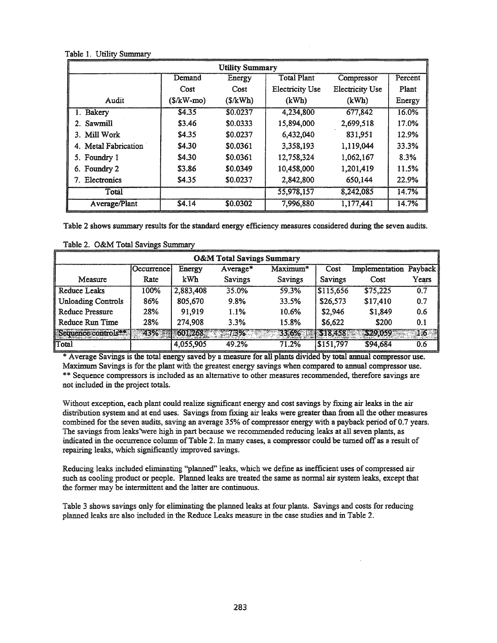| <b>Utility Summary</b> |              |          |                        |                        |         |  |
|------------------------|--------------|----------|------------------------|------------------------|---------|--|
|                        | Demand       | Energy   | <b>Total Plant</b>     | Compressor             | Percent |  |
|                        | Cost         | Cost     | <b>Electricity Use</b> | <b>Electricity Use</b> | Plant   |  |
| Audit                  | $($/kW$ -mo) | (S/kWh)  | (kWh)                  | (kWh)                  | Energy  |  |
| 1. Bakery              | \$4.35       | \$0.0237 | 4,234,800              | 677,842                | 16.0%   |  |
| 2. Sawmill             | \$3.46       | \$0.0333 | 15,894,000             | 2,699,518              | 17.0%   |  |
| 3. Mill Work           | \$4.35       | \$0.0237 | 6,432,040              | 831,951                | 12.9%   |  |
| 4. Metal Fabrication   | \$4.30       | \$0.0361 | 3,358,193              | 1,119,044              | 33.3%   |  |
| 5. Foundry 1           | \$4.30       | \$0.0361 | 12,758,324             | 1,062,167              | 8.3%    |  |
| 6. Foundry 2           | \$3.86       | \$0.0349 | 10,458,000             | 1,201,419              | 11.5%   |  |
| Electronics<br>7.      | \$4.35       | \$0.0237 | 2,842,800              | 650.144                | 22.9%   |  |
| Total                  |              |          | 55,978,157             | 8,242,085              | 14.7%   |  |
| Average/Plant          | \$4.14       | \$0.0302 | 7,996,880              | 1,177,441              | 14.7%   |  |

Table 1. Utility Summary

Table 2 shows summary results for the standard energy efficiency measures considered during the seven audits.

| <b>O&amp;M Total Savings Summary</b> |                   |           |                |          |           |                |         |
|--------------------------------------|-------------------|-----------|----------------|----------|-----------|----------------|---------|
|                                      | <b>Dccurrence</b> | Energy    | Average*       | Maximum* | Cost      | Implementation | Payback |
| Measure                              | Rate              | kWh       | <b>Savings</b> | Savings  | Savings   | Cost           | Years   |
| Reduce Leaks                         | 100%              | 2,883,408 | 35.0%          | 59.3%    | 3115,656  | \$75,225       | 0.7     |
| <b>Unloading Controls</b>            | 86%               | 805,670   | 9.8%           | 33.5%    | \$26,573  | \$17,410       | 0.7     |
| <b>Reduce Pressure</b>               | 28%               | 91.919    | 1.1%           | 10.6%    | \$2,946   | \$1,849        | 0.6     |
| Reduce Run Time                      | 28%               | 274,908   | 3.3%           | 15.8%    | \$6.622   | \$200          | 0.1     |
| Sequence controls <sup>34</sup>      | 43%               | 601,268   | 73%            | 33.6%    | \$18,458  | \$29,059       | 176     |
| Total                                |                   | 4,055,905 | 49.2%          | 71.2%    | \$151,797 | \$94,684       | 0.6     |

Table 2. O&M Total Savings Summary

\* Average Savings is the total energy saved by a measure for all plants divided by total annual compressor use. Maximum Savings is for the plant with the greatest energy savings when compared to annual compressor use. \*\* Sequence compressors is included as an alternative to other measures recommended, therefore savings are not included in the project totals.

Without exception, each plant could realize significant energy and cost savings by fixing air leaks in the air distribution system and at end uses. Savings from fixing air leaks were greater than from all the other measures combined for the seven audits, saving an average 35% of compressor energy with a payback period of 0.7 years. The savings from leaks"were high in part because we recommended reducing leaks at all seven plants, as indicated in the occurrence column ofTable 2. In many cases, a compressor could be turned off as a result of repairing leaks, which significantly improved savings.

Reducing leaks included eliminating "planned" leaks, which we define as inefficient uses of compressed air such as cooling product or people. Planned leaks are treated the same as nonnal air system leaks, except that the former may be intermittent and the latter are continuous.

Table 3 shows savings only for eliminating the planned leaks at four plants. Savings and costs for reducing planned leaks are also included in the Reduce Leaks measure in the case studies and in Table 2.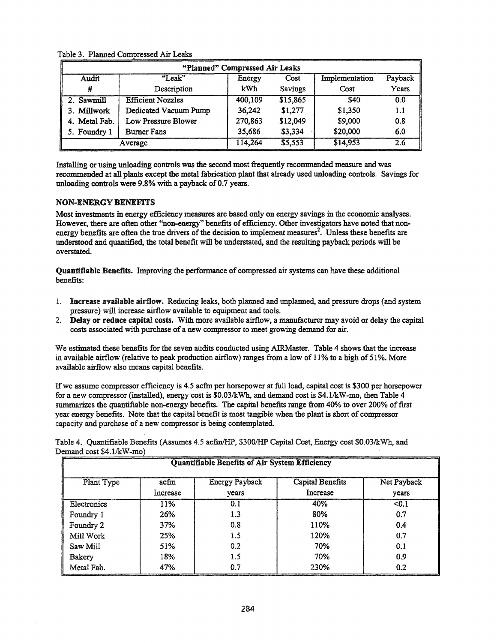| "Planned" Compressed Air Leaks |                          |                |          |                |         |  |  |
|--------------------------------|--------------------------|----------------|----------|----------------|---------|--|--|
| Audit                          | $"$ Leak"                | Energy<br>Cost |          | Implementation | Payback |  |  |
| #                              | Description              | kWh            | Savings  | Cost           | Years   |  |  |
| 2. Sawmill                     | <b>Efficient Nozzles</b> | 400,109        | \$15,865 | <b>S40</b>     | 0.0     |  |  |
| 3. Millwork                    | Dedicated Vacuum Pump    | 36,242         | \$1,277  | \$1,350        | 1.1     |  |  |
| 4. Metal Fab.                  | Low Pressure Blower      | 270,863        | \$12,049 | \$9,000        | 0.8     |  |  |
| 5. Foundry 1                   | <b>Burner Fans</b>       | 35,686         | \$3,334  | \$20,000       | 6.0     |  |  |
| Average                        |                          | 114,264        | \$5,553  | \$14,953       | 2.6     |  |  |

Table 3. Planned Compressed Air Leaks

Installing or using unloading controls was the second most frequently recommended measure and was recommended at all plants except the metal fabrication plant that already used unloading controls. Savings for unloading controls were 9.8% with a payback of 0.7 years.

## NON-ENERGY BENEFITS

Most investments in energy efficiency measures are based only on energy savings in the economic analyses. However, there are often other "non-energy" benefits of efficiency. Other investigators have noted that nonenergy benefits are often the true drivers of the decision to implement measures<sup>2</sup>. Unless these benefits are understood and quantified, the total benefit will be understated, and the resulting payback periods will be overstated.

Quantifiable Benefits. Improving the performance of compressed air systems can have these additional benefits:

- 1. Increase available airflow. Reducing leaks, both planned and unplanned, and pressure drops (and system pressure) will increase airflow available to equipment and tools.
- 2. Delay or reduce capital costs. With more available airflow, a manufacturer may avoid or delay the capital costs associated with purchase of a new compressor to meet growing demand for air.

We estimated these benefits for the seven audits conducted using AIRMaster. Table 4 shows that the increase in available airflow (relative to peak production airflow) ranges from a low of 11% to a high of 51%. More available airflow also means capital benefits.

If we assume compressor efficiency is 4.5 acfm per horsepower at full load, capital cost is \$300 per horsepower for a new compressor (installed), energy cost is \$0.03/kWh, and demand cost is \$4.1/kW-mo, then Table 4 summarizes the quantifiable non-energy benefits. The capital benefits range from 40% to over 200% of first year energy benefits. Note that the capital benefit is most tangtble when the plant is short of compressor capacity and purchase of a new compressor is being contemplated.

Table 4. Quantifiable Benefits (Assumes 4.5 acfmfHP, \$3001HP Capital Cost, Energy cost \$0.03/kWh, and Demand cost \$4.1/kW-mo)

| Quantifiable Benefits of Air System Efficiency |                  |                                |                                     |                      |  |
|------------------------------------------------|------------------|--------------------------------|-------------------------------------|----------------------|--|
| Plant Type                                     | acfm<br>Increase | <b>Energy Payback</b><br>vears | <b>Capital Benefits</b><br>Increase | Net Payback<br>years |  |
| Electronics                                    | 11%              | 0.1                            | 40%                                 | < 0.1                |  |
| Foundry 1                                      | 26%              | 1.3                            | 80%                                 | 0.7                  |  |
| Foundry 2                                      | 37%              | 0.8                            | 110%                                | 0.4                  |  |
| Mill Work                                      | 25%              | 1.5                            | 120%                                | 0.7                  |  |
| Saw Mill                                       | 51%              | 0.2                            | 70%                                 | 0.1                  |  |
| Bakery                                         | 18%              | 1.5                            | 70%                                 | 0.9                  |  |
| Metal Fab.                                     | 47%              | 0.7                            | 230%                                | 0.2                  |  |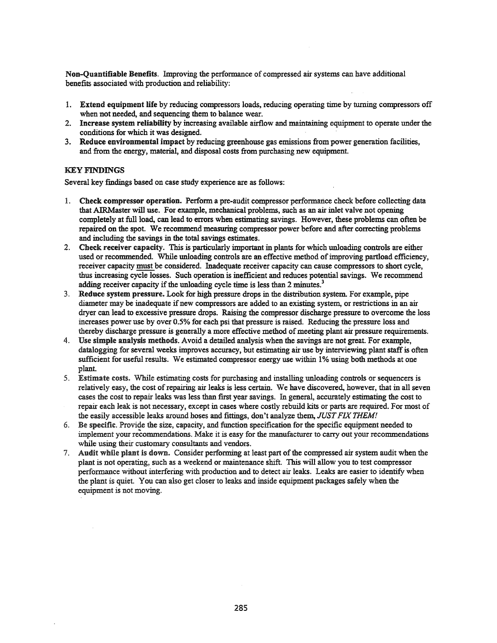Non-Quantifiable Benefits. Improving the performance of compressed air systems can have additional benefits associated with production and reliability:

- 1. Extend equipment life by reducing compressors loads, reducing operating time by turning compressors off when not needed, and sequencing them to balance wear.
- 2. Increase system reliability by increasing available airflow and maintaining equipment to operate under the conditions for which it was designed.
- 3. Reduce environmental impact by reducing greenhouse gas emissions from power generation facilities, and from the energy, material, and disposal costs from purchasing new equipment.

## KEY FINDINGS

Several key fmdings based on case study experience are as follows:

- 1. Check compressor operation. Perform a pre-audit compressor performance check before collecting data that AIRMaster will use. For example, mechanical problems, such as an air inlet valve not opening completely at full load, can lead to errors when estimating savings. However, these problems can often be repaired on the spot. We recommend measuring compressor power before and after correcting problems and including the savings in the total savings estimates.
- 2. Check receiver capacity. This is particularly important in plants for which unloading controls are either used or recommended. While unloading controls are an effective method ofimproving partload efficiency, receiver capacity must be considered. Inadequate receiver capacity can cause compressors to short cycle, thus increasing cycle losses. Such operation is inefficient and reduces potential savings. We recommend adding receiver capacity if the unloading cycle time is less than 2 minutes.<sup>3</sup>
- 3. Reduce system pressure. Look for high pressure drops in the distribution system. For example, pipe diameter may be inadequate ifnew compressors are added to an existing system, or restrictions in an air dryer can lead to excessive pressure drops. Raising the compressor discharge pressure to overcome the loss increases power use by over 0.5% for each psi that pressure is raised. Reducing the pressure loss and thereby discharge pressure is generally a more effective method of meeting plant air pressure requirements.
- 4. Use simple analysis methods. Avoid a detailed analysis when the savings are not great. For example, datalogging for several weeks improves accuracy, but estimating air use by interviewing plant staff is often sufficient for useful results. We estimated compressor energy use within 1% using both methods at one plant.
- 5. Estimate costs. While estimating costs for purchasing and installing unloading controls or sequencers is relatively easy, the cost of repairing air leaks is less certain. We have discovered, however, that in all seven cases the cost to repair leaks was less than first year savings. In general, accurately estimating the cost to repair each leak is not necessary, except in cases where costly rebuild kits or parts are required. For most of the easily accessible leaks around hoses and fittings, don't analyze them, *JUST FIX THEM!*
- 6. Be specific. Provide the size, capacity, and function specification for the specific equipment needed to implement your recommendations. Make it is easy for the manufacturer to carry out your recommendations while using their customary consultants and vendors.
- 7. Audit while plant is down. Consider performing at least part of the compressed air system audit when the plant is not operating, such as a weekend or maintenance shift. This will allow you to test compressor performance without interfering with production and to detect air leaks. Leaks are easier to identify when the plant is quiet. You can also get closer to leaks and inside equipment packages safely when the equipment is not moving.